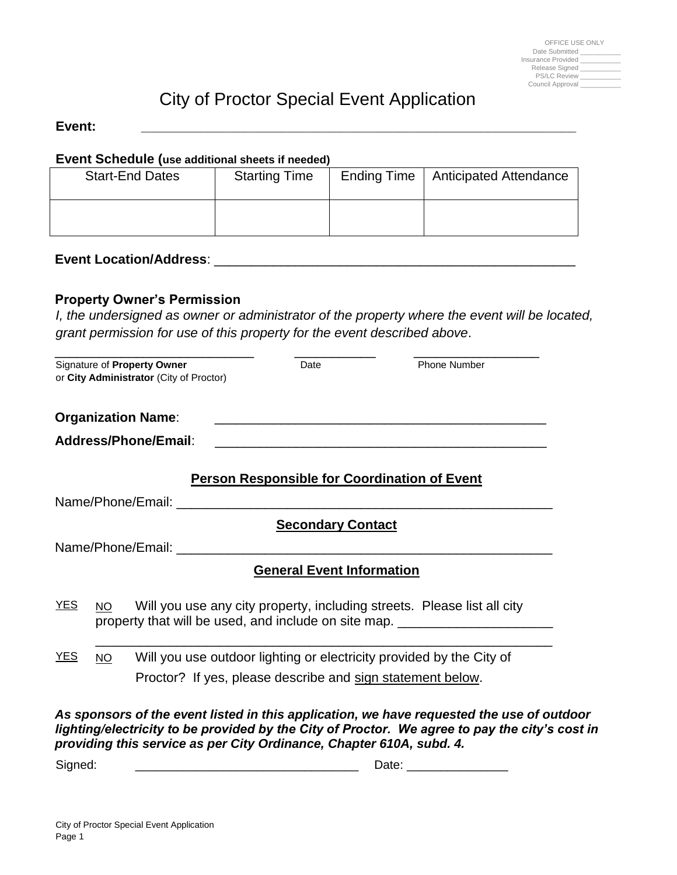| OFFICE USE ONLY     |  |
|---------------------|--|
| Date Submitted      |  |
| Insurance Provided  |  |
| Release Signed      |  |
| <b>PS/LC Review</b> |  |
| Council Approval    |  |

# City of Proctor Special Event Application

#### **Event: \_\_\_\_\_\_\_\_\_\_\_\_\_\_\_\_\_\_\_\_\_\_\_\_\_\_\_\_\_\_\_\_\_\_\_\_\_\_\_\_\_\_\_\_\_\_\_\_\_\_\_\_\_\_\_\_\_\_\_**

#### **Event Schedule (use additional sheets if needed)**

| <b>Start-End Dates</b> | <b>Starting Time</b> | Ending Time   Anticipated Attendance |
|------------------------|----------------------|--------------------------------------|
|                        |                      |                                      |

## **Event Location/Address**: \_\_\_\_\_\_\_\_\_\_\_\_\_\_\_\_\_\_\_\_\_\_\_\_\_\_\_\_\_\_\_\_\_\_\_\_\_\_\_\_\_\_\_\_\_\_\_\_\_

### **Property Owner's Permission**

*I, the undersigned as owner or administrator of the property where the event will be located, grant permission for use of this property for the event described above*.

|            |           | Signature of Property Owner<br>or City Administrator (City of Proctor) | Date                                                       | Phone Number                                                                                                                                                |
|------------|-----------|------------------------------------------------------------------------|------------------------------------------------------------|-------------------------------------------------------------------------------------------------------------------------------------------------------------|
|            |           | <b>Organization Name:</b>                                              |                                                            |                                                                                                                                                             |
|            |           | Address/Phone/Email:                                                   |                                                            |                                                                                                                                                             |
|            |           |                                                                        | <b>Person Responsible for Coordination of Event</b>        |                                                                                                                                                             |
|            |           |                                                                        |                                                            |                                                                                                                                                             |
|            |           |                                                                        | <b>Secondary Contact</b>                                   |                                                                                                                                                             |
|            |           |                                                                        |                                                            |                                                                                                                                                             |
|            |           |                                                                        | <b>General Event Information</b>                           |                                                                                                                                                             |
| <u>YES</u> | <b>NO</b> |                                                                        |                                                            | Will you use any city property, including streets. Please list all city<br>property that will be used, and include on site map. ___________________________ |
| <u>YES</u> | <b>NO</b> |                                                                        |                                                            | Will you use outdoor lighting or electricity provided by the City of                                                                                        |
|            |           |                                                                        | Proctor? If yes, please describe and sign statement below. |                                                                                                                                                             |

*lighting/electricity to be provided by the City of Proctor. We agree to pay the city's cost in providing this service as per City Ordinance, Chapter 610A, subd. 4.* 

Signed: \_\_\_\_\_\_\_\_\_\_\_\_\_\_\_\_\_\_\_\_\_\_\_\_\_\_\_\_\_\_\_\_\_ Date: \_\_\_\_\_\_\_\_\_\_\_\_\_\_\_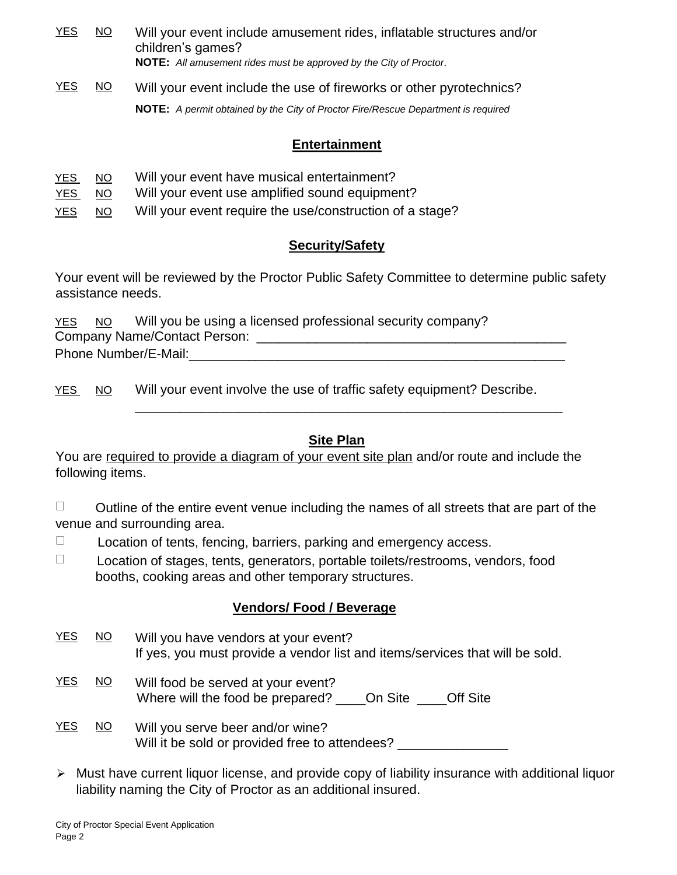| <b>YES</b> | <u>NO</u> | Will your event include amusement rides, inflatable structures and/or<br>children's games?<br><b>NOTE:</b> All amusement rides must be approved by the City of Proctor. |
|------------|-----------|-------------------------------------------------------------------------------------------------------------------------------------------------------------------------|
| <u>YES</u> | <u>NO</u> | Will your event include the use of fireworks or other pyrotechnics?                                                                                                     |
|            |           | NOTE: A permit obtained by the City of Proctor Fire/Rescue Department is required                                                                                       |

## **Entertainment**

| YES        | NO. | Will your event have musical entertainment?              |
|------------|-----|----------------------------------------------------------|
| YES        | NO. | Will your event use amplified sound equipment?           |
| <u>YES</u> | NO. | Will your event require the use/construction of a stage? |

# **Security/Safety**

Your event will be reviewed by the Proctor Public Safety Committee to determine public safety assistance needs.

YES NO Will you be using a licensed professional security company? Company Name/Contact Person: \_\_\_\_\_\_\_\_\_\_\_\_\_\_\_\_\_\_\_\_\_\_\_\_\_\_\_\_\_\_\_\_\_\_\_\_\_\_\_\_\_\_ Phone Number/E-Mail:

YES NO Will your event involve the use of traffic safety equipment? Describe.

# **Site Plan**

\_\_\_\_\_\_\_\_\_\_\_\_\_\_\_\_\_\_\_\_\_\_\_\_\_\_\_\_\_\_\_\_\_\_\_\_\_\_\_\_\_\_\_\_\_\_\_\_\_\_\_\_\_\_\_\_\_\_

You are required to provide a diagram of your event site plan and/or route and include the following items.

 $\Box$ Outline of the entire event venue including the names of all streets that are part of the venue and surrounding area.

 $\Box$ Location of tents, fencing, barriers, parking and emergency access.

 $\Box$  Location of stages, tents, generators, portable toilets/restrooms, vendors, food booths, cooking areas and other temporary structures.

# **Vendors/ Food / Beverage**

- YES NO Will you have vendors at your event? If yes, you must provide a vendor list and items/services that will be sold.
- YES NO Will food be served at your event? Where will the food be prepared? \_\_\_\_On Site \_\_\_\_Off Site
- YES NO Will you serve beer and/or wine? Will it be sold or provided free to attendees?
- $\triangleright$  Must have current liquor license, and provide copy of liability insurance with additional liquor liability naming the City of Proctor as an additional insured.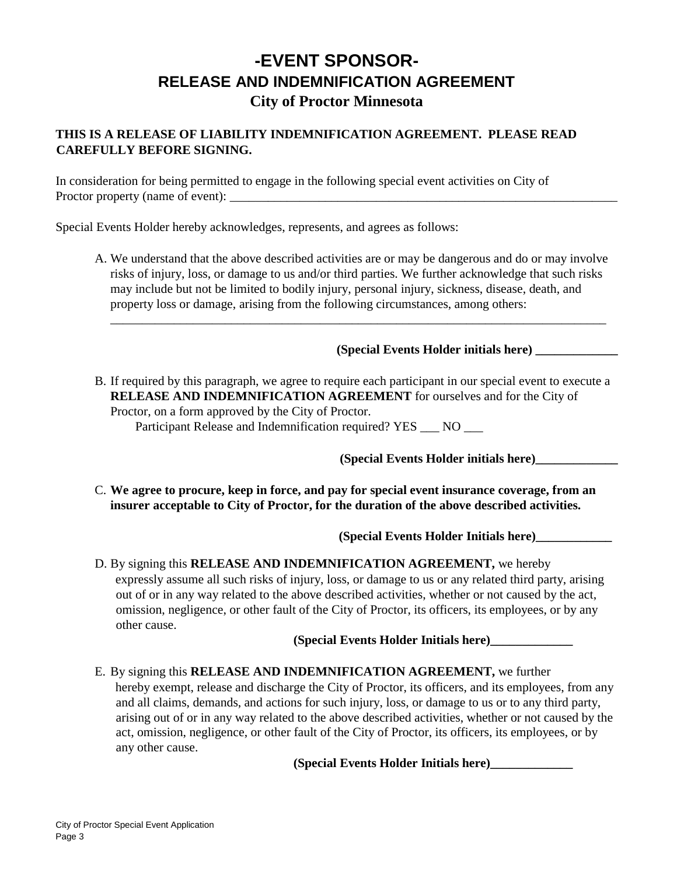# **-EVENT SPONSOR-RELEASE AND INDEMNIFICATION AGREEMENT City of Proctor Minnesota**

### **THIS IS A RELEASE OF LIABILITY INDEMNIFICATION AGREEMENT. PLEASE READ CAREFULLY BEFORE SIGNING.**

In consideration for being permitted to engage in the following special event activities on City of Proctor property (name of event):

Special Events Holder hereby acknowledges, represents, and agrees as follows:

A. We understand that the above described activities are or may be dangerous and do or may involve risks of injury, loss, or damage to us and/or third parties. We further acknowledge that such risks may include but not be limited to bodily injury, personal injury, sickness, disease, death, and property loss or damage, arising from the following circumstances, among others:

\_\_\_\_\_\_\_\_\_\_\_\_\_\_\_\_\_\_\_\_\_\_\_\_\_\_\_\_\_\_\_\_\_\_\_\_\_\_\_\_\_\_\_\_\_\_\_\_\_\_\_\_\_\_\_\_\_\_\_\_\_\_\_\_\_\_\_\_\_\_\_\_\_\_\_\_\_\_

### **(Special Events Holder initials here) \_\_\_\_\_\_\_\_\_\_\_\_\_**

B. If required by this paragraph, we agree to require each participant in our special event to execute a **RELEASE AND INDEMNIFICATION AGREEMENT** for ourselves and for the City of Proctor, on a form approved by the City of Proctor.

Participant Release and Indemnification required? YES \_\_\_ NO \_\_\_

**(Special Events Holder initials here)\_\_\_\_\_\_\_\_\_\_\_\_\_** 

C. **We agree to procure, keep in force, and pay for special event insurance coverage, from an insurer acceptable to City of Proctor, for the duration of the above described activities.** 

**(Special Events Holder Initials here)\_\_\_\_\_\_\_\_\_\_\_\_**

D. By signing this **RELEASE AND INDEMNIFICATION AGREEMENT,** we hereby expressly assume all such risks of injury, loss, or damage to us or any related third party, arising out of or in any way related to the above described activities, whether or not caused by the act, omission, negligence, or other fault of the City of Proctor, its officers, its employees, or by any other cause.

**(Special Events Holder Initials here)\_\_\_\_\_\_\_\_\_\_\_\_\_** 

E. By signing this **RELEASE AND INDEMNIFICATION AGREEMENT,** we further hereby exempt, release and discharge the City of Proctor, its officers, and its employees, from any and all claims, demands, and actions for such injury, loss, or damage to us or to any third party, arising out of or in any way related to the above described activities, whether or not caused by the act, omission, negligence, or other fault of the City of Proctor, its officers, its employees, or by any other cause.

**(Special Events Holder Initials here)\_\_\_\_\_\_\_\_\_\_\_\_\_**